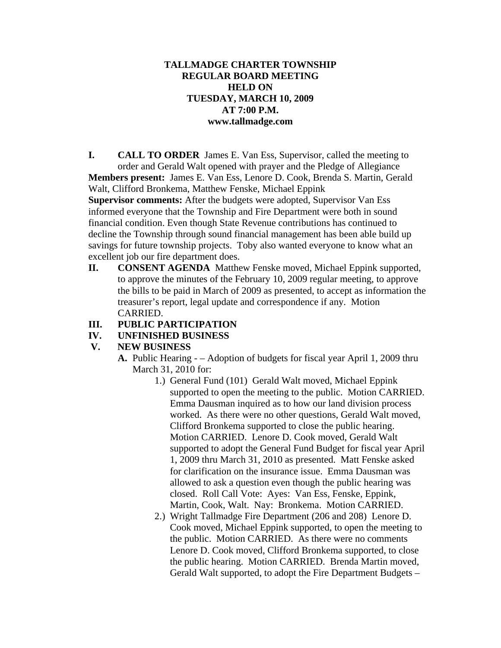### **TALLMADGE CHARTER TOWNSHIP REGULAR BOARD MEETING HELD ON TUESDAY, MARCH 10, 2009 AT 7:00 P.M. www.tallmadge.com**

**I. CALL TO ORDER** James E. Van Ess, Supervisor, called the meeting to order and Gerald Walt opened with prayer and the Pledge of Allegiance **Members present:** James E. Van Ess, Lenore D. Cook, Brenda S. Martin, Gerald Walt, Clifford Bronkema, Matthew Fenske, Michael Eppink

**Supervisor comments:** After the budgets were adopted, Supervisor Van Ess informed everyone that the Township and Fire Department were both in sound financial condition. Even though State Revenue contributions has continued to decline the Township through sound financial management has been able build up savings for future township projects. Toby also wanted everyone to know what an excellent job our fire department does.

**II. CONSENT AGENDA** Matthew Fenske moved, Michael Eppink supported, to approve the minutes of the February 10, 2009 regular meeting, to approve the bills to be paid in March of 2009 as presented, to accept as information the treasurer's report, legal update and correspondence if any. Motion CARRIED.

## **III. PUBLIC PARTICIPATION**

#### **IV. UNFINISHED BUSINESS**

## **V. NEW BUSINESS**

- **A.** Public Hearing – Adoption of budgets for fiscal year April 1, 2009 thru March 31, 2010 for:
	- 1.) General Fund (101) Gerald Walt moved, Michael Eppink supported to open the meeting to the public. Motion CARRIED. Emma Dausman inquired as to how our land division process worked. As there were no other questions, Gerald Walt moved, Clifford Bronkema supported to close the public hearing. Motion CARRIED. Lenore D. Cook moved, Gerald Walt supported to adopt the General Fund Budget for fiscal year April 1, 2009 thru March 31, 2010 as presented. Matt Fenske asked for clarification on the insurance issue. Emma Dausman was allowed to ask a question even though the public hearing was closed. Roll Call Vote: Ayes: Van Ess, Fenske, Eppink, Martin, Cook, Walt. Nay: Bronkema. Motion CARRIED.
	- 2.) Wright Tallmadge Fire Department (206 and 208) Lenore D. Cook moved, Michael Eppink supported, to open the meeting to the public. Motion CARRIED. As there were no comments Lenore D. Cook moved, Clifford Bronkema supported, to close the public hearing. Motion CARRIED. Brenda Martin moved, Gerald Walt supported, to adopt the Fire Department Budgets –